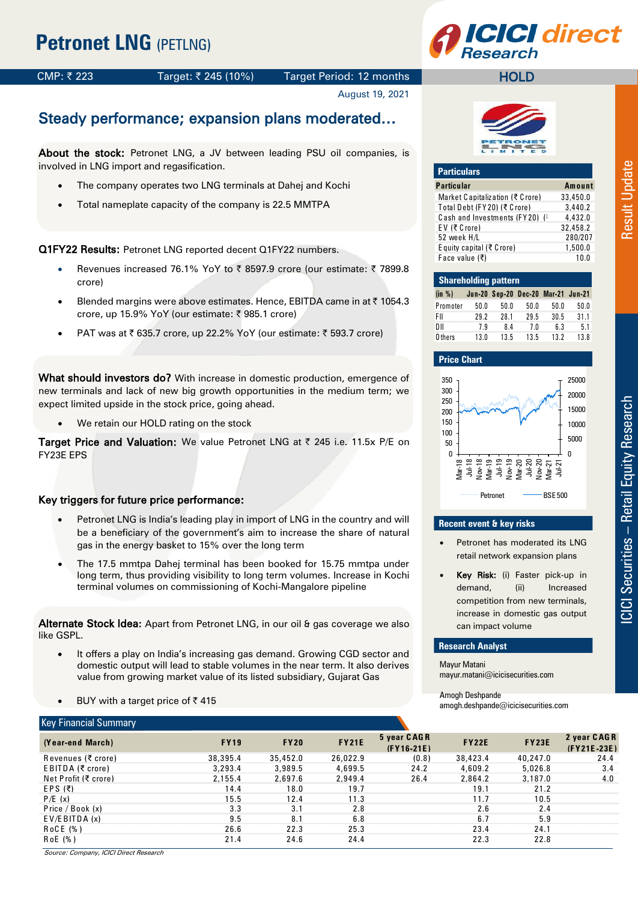# **CI** direct

#### CMP: ₹223 Target: ₹245 (10%) Target Period: 12 months

#### August 19, 2021

# Steady performance; expansion plans moderated…

About the stock: Petronet LNG, a JV between leading PSU oil companies, is involved in LNG import and regasification.

- The company operates two LNG terminals at Dahej and Kochi
- Total nameplate capacity of the company is 22.5 MMTPA

Q1FY22 Results: Petronet LNG reported decent Q1FY22 numbers.

- Revenues increased 76.1% YoY to  $\bar{\tau}$  8597.9 crore (our estimate:  $\bar{\tau}$  7899.8 crore)
- Blended margins were above estimates. Hence, EBITDA came in at ₹ 1054.3 crore, up 15.9% YoY (our estimate: ₹985.1 crore)
- PAT was at ₹ 635.7 crore, up 22.2% YoY (our estimate: ₹ 593.7 crore)

What should investors do? With increase in domestic production, emergence of new terminals and lack of new big growth opportunities in the medium term; we expect limited upside in the stock price, going ahead.

We retain our HOLD rating on the stock

Target Price and Valuation: We value Petronet LNG at ₹ 245 i.e. 11.5x P/E on FY23E EPS

#### Key triggers for future price performance:

- Petronet LNG is India's leading play in import of LNG in the country and will be a beneficiary of the government's aim to increase the share of natural gas in the energy basket to 15% over the long term
- The 17.5 mmtpa Dahej terminal has been booked for 15.75 mmtpa under long term, thus providing visibility to long term volumes. Increase in Kochi terminal volumes on commissioning of Kochi-Mangalore pipeline

Alternate Stock Idea: Apart from Petronet LNG, in our oil & gas coverage we also like GSPL.

- It offers a play on India's increasing gas demand. Growing CGD sector and domestic output will lead to stable volumes in the near term. It also derives value from growing market value of its listed subsidiary, Gujarat Gas
- BUY with a target price of  $\bar{z}$  415

| BUY with a target price of $\bar{\tau}$ 415<br>$\bullet$ |             |             | Amogh Deshpande<br>amogh.deshpande@icicisecurities.com |                             |              |              |                            |
|----------------------------------------------------------|-------------|-------------|--------------------------------------------------------|-----------------------------|--------------|--------------|----------------------------|
| <b>Key Financial Summary</b>                             |             |             |                                                        |                             |              |              |                            |
| (Year-end March)                                         | <b>FY19</b> | <b>FY20</b> | <b>FY21E</b>                                           | 5 year CAGR<br>$(FY16-21E)$ | <b>FY22E</b> | <b>FY23E</b> | 2 year CAGR<br>(FY21E-23E) |
| Revenues (₹ crore)                                       | 38,395.4    | 35,452.0    | 26,022.9                                               | (0.8)                       | 38,423.4     | 40,247.0     | 24.4                       |
| EBITDA (₹ crore)                                         | 3,293.4     | 3,989.5     | 4,699.5                                                | 24.2                        | 4,609.2      | 5,026.8      | 3.4                        |
| Net Profit (₹ crore)                                     | 2.155.4     | 2.697.6     | 2.949.4                                                | 26.4                        | 2.864.2      | 3,187.0      | 4.0                        |
| EPS $(\bar{\tau})$                                       | 14.4        | 18.0        | 19.7                                                   |                             | 19.1         | 21.2         |                            |
| P/E(x)                                                   | 15.5        | 12.4        | 11.3                                                   |                             | 11.7         | 10.5         |                            |
| Price / Book (x)                                         | 3.3         | 3.1         | 2.8                                                    |                             | 2.6          | 2.4          |                            |
| $E$ V/E BITDA $(x)$                                      | 9.5         | 8.1         | 6.8                                                    |                             | 6.7          | 5.9          |                            |
| RoCE (%)                                                 | 26.6        | 22.3        | 25.3                                                   |                             | 23.4         | 24.1         |                            |
| R o E (%)                                                | 21.4        | 24.6        | 24.4                                                   |                             | 22.3         | 22.8         |                            |



**HOLD** 

#### **Particulars Particular Amount**<br> **Market Canitalization (₹ Crore)** 33.450.0 Market C apitaliz ation (₹ C rore) 33,450.0 Total Debt (FY20) (₹ Crore) 3,440.2<br>Cash and Investments (FY20) (6 4,432.0 C ash and Investments (F Y 20) (₹ C rore) 4,432.0 Casn and investments (FYZU) (\* 4,432.0<br>EV (₹Crore) 32,458.2 EV (₹ Crore) 32,458.2<br>52 week H/L 280/207<br>Equity capital (₹ Crore) 1,500.0 E quity capital (₹ C rore) 1,500.0 <u>E quity capital (< C rore)</u><br>Face value (₹) 10.0

|          | <b>Shareholding pattern</b> |      |                                    |      |      |  |  |  |  |  |  |  |  |  |  |
|----------|-----------------------------|------|------------------------------------|------|------|--|--|--|--|--|--|--|--|--|--|
| (in %)   |                             |      | Jun-20 Sep-20 Dec-20 Mar-21 Jun-21 |      |      |  |  |  |  |  |  |  |  |  |  |
| Promoter | 50.0                        | 50.0 | 50.0                               | 50.0 | 50.0 |  |  |  |  |  |  |  |  |  |  |
| FII      | 292                         | 281  | 295                                | 30.5 | 31.1 |  |  |  |  |  |  |  |  |  |  |
| DШ       | 79                          | 84   | 7 N                                | ჩ 3  | 51   |  |  |  |  |  |  |  |  |  |  |
| 0 thers  | 13 N                        | 135  | 13.5                               | 13.2 | 13R  |  |  |  |  |  |  |  |  |  |  |

#### **Price Chart**



#### **Recent event & key risks**

- Petronet has moderated its LNG retail network expansion plans
- Key Risk: (i) Faster pick-up in demand, (ii) Increased competition from new terminals, increase in domestic gas output can impact volume

#### **Research Analyst**

Mayur Matani mayur.matani@icicisecurities.com

Amogh Deshpande amogh.deshpande@icicisecurities.com Result Update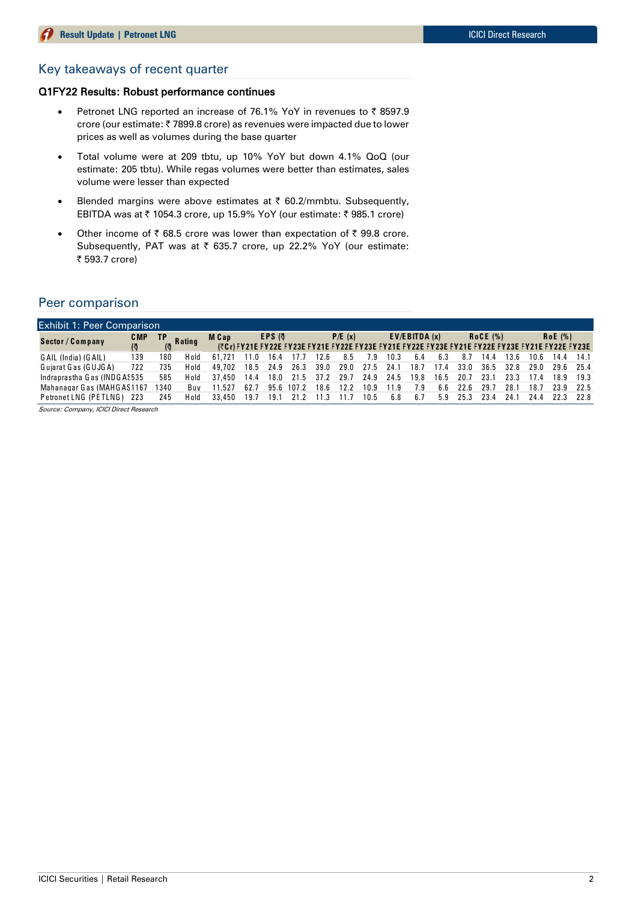#### Key takeaways of recent quarter

#### Q1FY22 Results: Robust performance continues

- Petronet LNG reported an increase of 76.1% YoY in revenues to  $\bar{z}$  8597.9 crore (our estimate: ₹7899.8 crore) as revenues were impacted due to lower prices as well as volumes during the base quarter
- Total volume were at 209 tbtu, up 10% YoY but down 4.1% QoQ (our estimate: 205 tbtu). While regas volumes were better than estimates, sales volume were lesser than expected
- Blended margins were above estimates at  $\bar{\tau}$  60.2/mmbtu. Subsequently, EBITDA was at ₹ 1054.3 crore, up 15.9% YoY (our estimate: ₹ 985.1 crore)
- Other income of  $\bar{\tau}$  68.5 crore was lower than expectation of  $\bar{\tau}$  99.8 crore. Subsequently, PAT was at ₹ 635.7 crore, up 22.2% YoY (our estimate: ₹ 593.7 crore)

#### Peer comparison

| Peer comparison                        |             |           |               |        |      |        |       |      |        |      |      |                     |      |      |                 |      |                                                                                                 |         |      |
|----------------------------------------|-------------|-----------|---------------|--------|------|--------|-------|------|--------|------|------|---------------------|------|------|-----------------|------|-------------------------------------------------------------------------------------------------|---------|------|
| <b>Exhibit 1: Peer Comparison</b>      |             |           |               |        |      |        |       |      |        |      |      |                     |      |      |                 |      |                                                                                                 |         |      |
| Sector / Company                       | C MP<br>(ৰ্ | <b>TP</b> | <b>Rating</b> | M Cap  |      | EPS (引 |       |      | P/E(x) |      |      | $EVA$ /EBITDA $(x)$ |      |      | <b>RoCE (%)</b> |      | (₹Cr) FY21E FY22E FY23E FY21E FY22E FY23E FY21E FY22E FY23E FY21E FY22E FY23E FY21E FY22E FY23E | RoE(% ) |      |
| GAIL (India) (GAIL)                    | 139         | 180       | Hold          | 61.721 | 11.0 | 16.4   |       | 12.6 | 8.5    | .9   | 10.3 | 6.4                 | 6.3  | 8.7  | 14.4            | 13.6 | 10.6                                                                                            | 14.4    | 14.1 |
| Guiarat Gas (GUJGA)                    | 722         | 735       | Hold          | 49,702 | 18.5 | 24.9   | 26.3  | 39.0 | 29.0   | 27.5 | 24.1 | 18.1                | 17.4 | 33.0 | 36.5            | 32.8 | 29.0                                                                                            | 29.6    | 25.4 |
| Indraprastha Gas (INDGA: 535           |             | 585       | Hold          | 37,450 | 14.4 | 18.0   | 21.5  | 37.2 | 29.    | 24.9 | 24.5 | 19.8                | 16.5 | 20.7 | 23.             | 23.3 | 174                                                                                             | 18.9    | 19.3 |
| Mahanagar Gas (MAHGAS1167              |             | 1340      | Buv           | 11.527 | 62.7 | 95.6   | 107.2 | 18.6 | 122    | 10.9 | 119  | 7 9                 | հ հ  | 22 6 | 29.             | ∵98  | 18.                                                                                             | 23.9    | 22.5 |
| Petronet LNG (PETLNG) 223              |             | 245       | Hold          | 33,450 | 19.7 | 19.1   | 21.2  | 11.3 | 11.7   | 10.5 | 6.8  | 6.7                 | 5.9  | 25.3 | 23.4            | 24.1 | 24.4                                                                                            | 22.3    | 22.8 |
| Source: Company, ICICI Direct Research |             |           |               |        |      |        |       |      |        |      |      |                     |      |      |                 |      |                                                                                                 |         |      |

Source: Company, ICICI Direct Research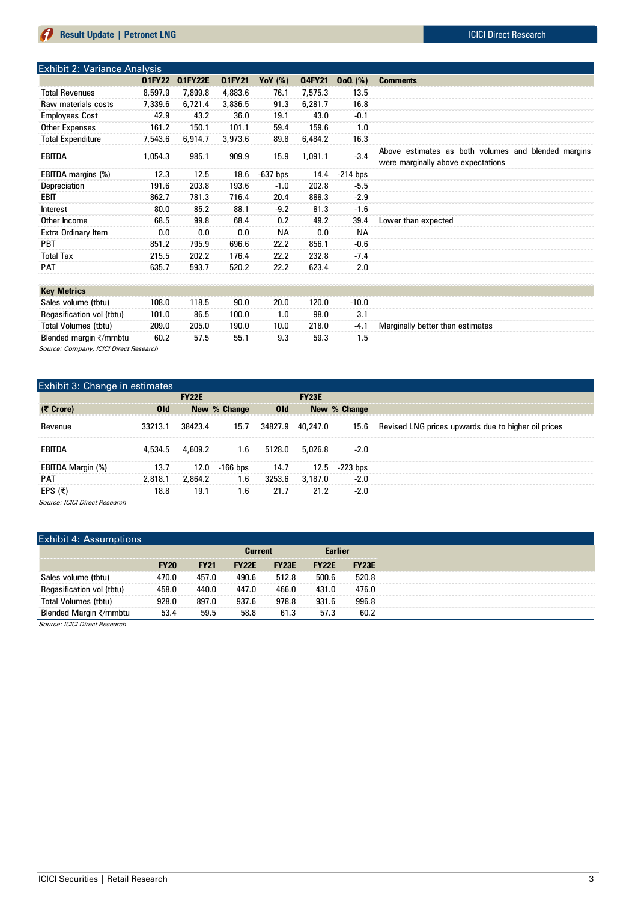| <b>Exhibit 2: Variance Analysis</b> |               |                |               |            |               |            |                                                     |
|-------------------------------------|---------------|----------------|---------------|------------|---------------|------------|-----------------------------------------------------|
|                                     | <b>Q1FY22</b> | <b>Q1FY22E</b> | <b>Q1FY21</b> | YoY $(\%)$ | <b>Q4FY21</b> | $Q_0Q(\%)$ | <b>Comments</b>                                     |
| <b>Total Revenues</b>               | 8,597.9       | 7.899.8        | 4,883.6       | 76.1       | 7,575.3       | 13.5       |                                                     |
| Raw materials costs                 | 7,339.6       | 6,721.4        | 3,836.5       | 91.3       | 6.281.7       | 16.8       |                                                     |
| <b>Employees Cost</b>               | 42.9          | 43.2           | 36.0          | 19.1       | 43.0          | $-0.1$     |                                                     |
| <b>Other Expenses</b>               | 161.2         | 150.1          | 101.1         | 59.4       | 159.6         | 1.0        |                                                     |
| <b>Total Expenditure</b>            | 7,543.6       | 6,914.7        | 3,973.6       | 89.8       | 6,484.2       | 16.3       |                                                     |
| <b>EBITDA</b>                       | 1,054.3       | 985.1          | 909.9         | 15.9       | 1,091.1       | $-3.4$     | Above estimates as both volumes and blended margins |
|                                     |               |                |               |            |               |            | were marginally above expectations                  |
| EBITDA margins (%)                  | 12.3          | 12.5           | 18.6          | $-637$ bps | 14.4          | $-214$ bps |                                                     |
| Depreciation                        | 191.6         | 203.8          | 193.6         | $-1.0$     | 202.8         | $-5.5$     |                                                     |
| EBIT                                | 862.7         | 781.3          | 716.4         | 20.4       | 888.3         | $-2.9$     |                                                     |
| Interest                            | 80.0          | 85.2           | 88.1          | $-9.2$     | 81.3          | $-1.6$     |                                                     |
| Other Income                        | 68.5          | 99.8           | 68.4          | 0.2        | 49.2          | 39.4       | Lower than expected                                 |
| Extra Ordinary Item                 | 0.0           | 0.0            | 0.0           | <b>NA</b>  | 0.0           | ΝA         |                                                     |
| <b>PBT</b>                          | 851.2         | 795.9          | 696.6         | 22.2       | 856.1         | $-0.6$     |                                                     |
| <b>Total Tax</b>                    | 215.5         | 202.2          | 176.4         | 22.2       | 232.8         | $-7.4$     |                                                     |
| <b>PAT</b>                          | 635.7         | 593.7          | 520.2         | 22.2       | 623.4         | 2.0        |                                                     |
|                                     |               |                |               |            |               |            |                                                     |
| <b>Key Metrics</b>                  |               |                |               |            |               |            |                                                     |
| Sales volume (tbtu)                 | 108.0         | 118.5          | 90.0          | 20.0       | 120.0         | $-10.0$    |                                                     |
| Regasification vol (tbtu)           | 101.0         | 86.5           | 100.0         | 1.0        | 98.0          | 3.1        |                                                     |
| <b>Total Volumes (tbtu)</b>         | 209.0         | 205.0          | 190.0         | 10.0       | 218.0         | -4.1       | Marginally better than estimates                    |
| Blended margin ₹/mmbtu              | 60.2          | 57.5           | 55.1          | 9.3        | 59.3          | 1.5        |                                                     |

Source: Company, ICICI Direct Research

| Exhibit 3: Change in estimates |            |              |              |                 |                  |              |                                                     |
|--------------------------------|------------|--------------|--------------|-----------------|------------------|--------------|-----------------------------------------------------|
|                                |            | <b>FY22E</b> |              |                 | <b>FY23E</b>     |              |                                                     |
| (そ Crore)                      | <b>Old</b> |              | New % Change | 0 <sub>ld</sub> |                  | New % Change |                                                     |
| Revenue                        | 33213.1    | 38423.4      | 15.7         |                 | 34827.9 40.247.0 | 15.6         | Revised LNG prices upwards due to higher oil prices |
| EBITDA                         | 4,534.5    | 4,609.2      | 1.6          | 5128.0          | 5,026.8          | $-2.0$       |                                                     |
| EBITDA Margin (%)              | 13.7       | 12.0         | $-166$ bps   | 14.7            | 12.5             | -223 bps     |                                                     |
| <b>PAT</b>                     | 2.818.1    | 2.864.2      | 1.6          | 3253.6          | 3.187.0          | $-2.0$       |                                                     |
| EPS (₹)                        | 18.8       | 19.1         | 1.6          | 21.7            | 21.2             | $-2.0$       |                                                     |

Source: ICICI Direct Research

#### Exhibit 4: Assumptions

| LAIIIDIL 4. HOOUIIIDUUIO                          |             |             |                |              |                |              |  |
|---------------------------------------------------|-------------|-------------|----------------|--------------|----------------|--------------|--|
|                                                   |             |             | <b>Current</b> |              | <b>Earlier</b> |              |  |
|                                                   | <b>FY20</b> | <b>FY21</b> | <b>FY22E</b>   | <b>FY23E</b> | <b>FY22E</b>   | <b>FY23E</b> |  |
| Sales volume (tbtu)                               | 470.0       | 457.0       | 490.6          | 512.8        | 500.6          | 520.8        |  |
| Regasification vol (tbtu)                         | 458.0       | 440.0       | 447.0          | 466.0        | 431.0          | 476.0        |  |
| Total Volumes (tbtu)                              | 928.0       | 897.0       | 937.6          | 978.8        | 931.6          | 996.8        |  |
| Blended Margin ₹/mmbtu                            | 53.4        | 59.5        | 58.8           | 61.3         | 57.3           | 60.2         |  |
| $\alpha$ . $\alpha$ $\alpha$ $\alpha'$ . $\alpha$ |             |             |                |              |                |              |  |

Source: ICICI Direct Research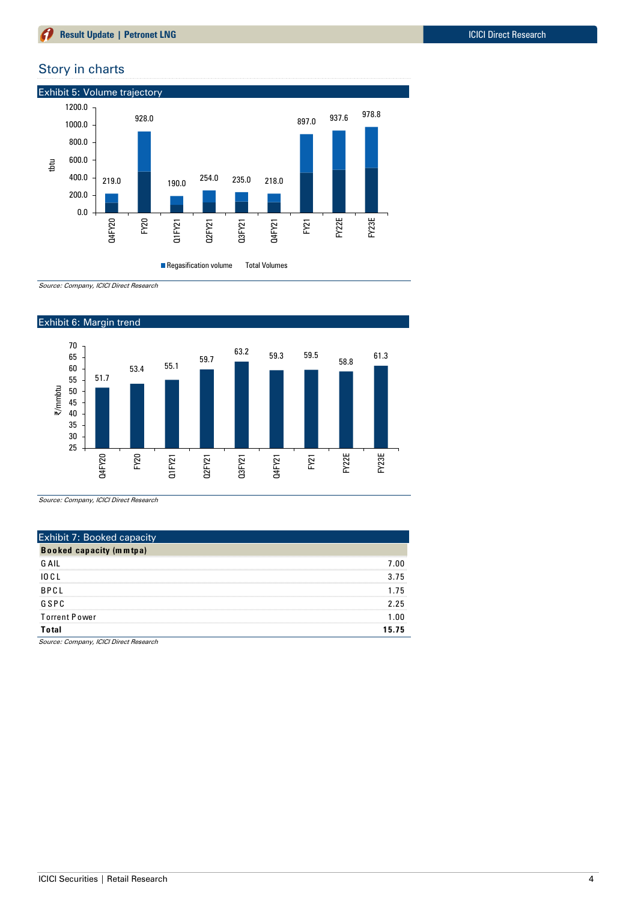### Story in charts



Regasification volume Total Volumes

Source: Company, ICICI Direct Research



Source: Company, ICICI Direct Research

| <b>Exhibit 7: Booked capacity</b>                                                                                              |     |
|--------------------------------------------------------------------------------------------------------------------------------|-----|
| <b>Booked capacity (mmtpa)</b>                                                                                                 |     |
| G AIL<br>the contract of the contract of the contract of the contract of the contract of the contract of the contract of       | -nn |
| 10 C L                                                                                                                         |     |
| <b>BPCI</b><br>the contract of the contract of the contract of the contract of the contract of the contract of the contract of |     |
| GSPC                                                                                                                           | 'n  |
| <b>Torrent Power</b>                                                                                                           |     |
| Total                                                                                                                          | 75  |

Source: Company, ICICI Direct Research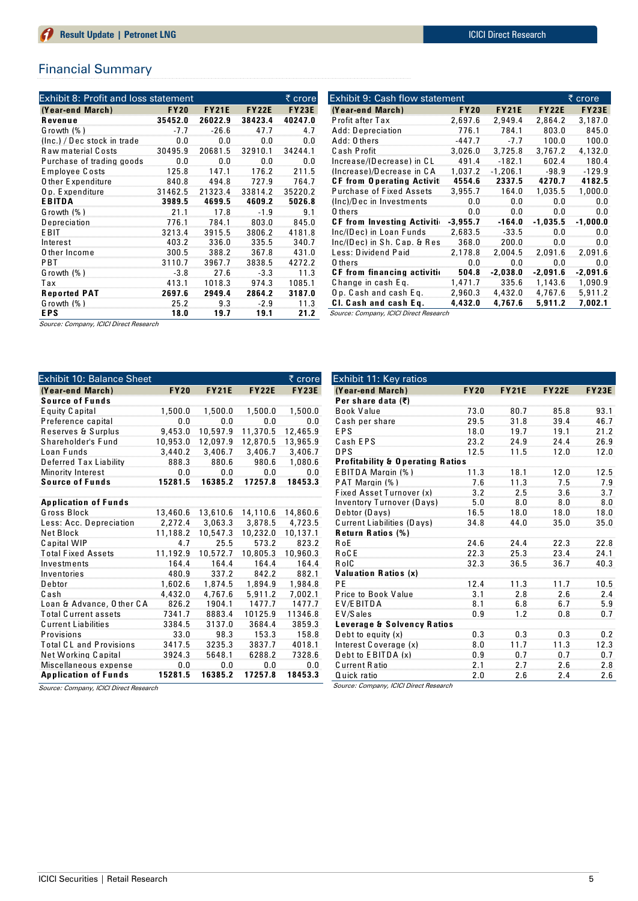#### Financial Summary

| Exhibit 8: Profit and loss statement |             |              |              | ₹ crore      |
|--------------------------------------|-------------|--------------|--------------|--------------|
| (Year-end March)                     | <b>FY20</b> | <b>FY21E</b> | <b>FY22E</b> | <b>FY23E</b> |
| Revenue                              | 35452.0     | 26022.9      | 38423.4      | 40247.0      |
| Growth (%)                           | $-7.7$      | $-26.6$      | 47.7         |              |
| (Inc.) / Dec stock in trade          | 0.0         | 0.0          | 0.O          | 0.O          |
| <b>Raw material Costs</b>            | 30495.9     | 20681.5      | 32910.1      | 34244.1      |
| Purchase of trading goods            | 0<br>O      | 0. O         |              |              |
| Employee Costs                       | 125.8       | 1471         | 176.2        | 2115         |
| <b>O</b> ther Expenditure            | 840.8       | 494.8        | 727.9        | 764.7        |
| Op. Expenditure                      | 31462.5     | 21323.4      | 33814.2      | 35220.2      |
| <b>EBITDA</b>                        | 3989.5      | 4699.5       | 4609.2       | 5026.8       |
| Growth (%)                           | 21.1        | 17.8         | -1.9         | 9.1          |
| Depreciation                         | 776.1       | 784.1        | 803.0        | 845.0        |
| E BIT                                | 3213.4      | 3915.5       | 3806.2       | 4181.8       |
| Interest                             | 403.2       | 336.0        | 335.5        | 340.7        |
| O ther Income                        | 300.5       | 388.2        | 367.8        | 431.0        |
| PBT                                  | 3110.7      | 3967.7       | 3838.5       | 4272.2       |
| Growth (%)                           | -3.8        | 27.6         | $-3.3$       | 11.3         |
| Tax                                  | 413.1       | 1018.3       | 974.3        | 1085.1       |
| <b>Reported PAT</b>                  | 2697.6      | 2949.4       | 2864.2       | 3187.0       |
| Growth $(%)$                         | 25.2        | 9.3          | -2.9         | 11.3         |
| <b>EPS</b>                           | 18.0        | 19.7         | 19.1         | 21.2         |

| <b>Exhibit 9: Cash flow statement</b> |             |              |              | ₹ crore      |  |  |  |
|---------------------------------------|-------------|--------------|--------------|--------------|--|--|--|
| (Year-end March)                      | <b>FY20</b> | <b>FY21E</b> | <b>FY22E</b> | <b>FY23E</b> |  |  |  |
| Profit after Tax                      | 2,697.6     | 2.949.4      | 2,864.2      | 3,187.0      |  |  |  |
| Add: Depreciation                     | 776.1       | 784.1        | 803.0        | 845.0        |  |  |  |
| Add: 0 thers                          | -447.7      | -7.7         | 100.0        | 100.0        |  |  |  |
| Cash Profit                           | 3.026.0     | 3.725.8      | 3.767.2      | 4,132.0      |  |  |  |
| Increase/(Decrease) in CL             | 491.4       | $-182.1$     | 602.4        | 180.4        |  |  |  |
| (Increase)/Decrease in CA             | 1.037.2     | $-1.206.1$   | $-98.9$      | $-129.9$     |  |  |  |
| <b>CF from Operating Activit</b>      | 4554.6      | 2337.5       | 4270.7       | 4182.5       |  |  |  |
| <b>Purchase of Fixed Assets</b>       | 3,955.7     | 164.0        | 1.035.5      | 1,000.0      |  |  |  |
| (Inc)/Dec in Investments              | 0.0         | 0.O          | 0.0          | 0.0          |  |  |  |
| 0 thers                               |             |              |              | 0.0          |  |  |  |
| <b>CF from Investing Activiti-</b>    | $-3.955.7$  | $-164.0$     | $-1,035.5$   | $-1,000.0$   |  |  |  |
| Inc/(Dec) in Loan Funds               | 2,683.5     | $-33.5$      | 0.0          | 0.0          |  |  |  |
| Inc/(Dec) in Sh. Cap. & Res           | 368.0       | 200.0        | 0.0          | 0.0          |  |  |  |
| Less: Dividend Paid                   | 2,178.8     | 2,004.5      | 2,091.6      | 2,091.6      |  |  |  |
| 0 thers                               | 0.0         | 0.0          | 0.0          | 0.0          |  |  |  |
| <b>CF</b> from financing activitio    | 504.8       | $-2,038.0$   | $-2,091.6$   | $-2,091.6$   |  |  |  |
| Change in cash Eq.                    | 1.471.7     | 335.6        | 1,143.6      | 1,090.9      |  |  |  |
| Op. Cash and cash Eq.                 | 2,960.3     | 4,432.0      | 4,767.6      | 5,911.2      |  |  |  |
| CI. Cash and cash Eq.                 | 4,432.0     | 4,767.6      | 5,911.2      | 7,002.1      |  |  |  |

Source: Company, ICICI Direct Research

Exhibit 10: Balance Sheet | crore **(Year-end March) F Y20 F Y21E F Y22E F Y23E (Year-end March)**<br>**Source of Funds**<br>**Equity Capital** E quity C apital 1,500.0 1,500.0 1,500.0 1,500.0 P reference capital 0.0 0.0 0.0 0.0 8 guity Capital 1,500.0 1,500.0 1,500.0 1,500.0<br>Preference capital 0.0 0.0 0.0 0.0 0.0<br>Reserves & Surplus 9,453.0 10,597.9 11,370.5 12,465.9 0.0 0.0 0.0 0.0 0.0<br>Reserves & Surplus 9,453.0 10,597.9 11,370.5 12,465.9<br>Shareholder's Fund 10,953.0 12,097.9 12,870.5 13,965.9 L oan F unds 3,440.2 3,406.7 3,406.7 3,406.7 Shareholder's Fund 10,953.0 12,097.9 12,870.5 13,965.9<br>
Loan Funds 3,440.2 3,406.7 3,406.7 3,406.7<br>
Deferred Tax Liability 888.3 880.6 980.6 1,080.6<br>
Minority Interest 0.0 0.0 0.0 0.0 Minority Interest **Source of F und s 15281.5 16385.2 17257.8 18453.3 Source of Funds<br>Application of Funds**<br>Gross Block Application of Funds<br>G ross Block 13,460.6 13,610.6 14,110.6 14,860.6<br>الشرقي الملك 13,460.6 13,610.6 14,330 14,330 14,330 14,330 14,330 14,330 14,330 14,330 14,330 14,330 14,330 14 L ess: Acc. D epreciation 2,272.4 3,063.3 3,878.5 4,723.5 Net Block 11,188.2 10,547.3 10,232.0 10,137.1<br>Capital WIP 4.7 25.5 573.2 823.2 C apital WIP 4.7 25.5 573.2 823.2 T otal F ixed Assets 11,192.9 10,572.7 10,805.3 10,960.3 1991 Investments 164.4 164.4 164.4 164.4 164.4 164.4 164.4 164.4 164.4 164.4 164.4 164.4 164.4 164.4 164.4 16 Inventories 480.9<br>Debtor 1,602.6 D ebtor 1,602.6 1,874.5 1,894.9 1,984.8 C ash 4,432.0 4,767.6 5,911.2 7,002.1 L oan & Advance, O ther C A 826.2 1904.1 1477.7 1477.7 T otal C urrent assets 7341.7 8883.4 10125.9 11346.8 C urrent L iabilities 3384.5 3137.0 3684.4 3859.3 P rovisions 33.0 98.3 153.3 158.8 T otal C L and P rovisions 3417.5 3235.3 3837.7 4018.1 98.3 153.3 158.8 198.3 158.8 158.8 198.3 158.8<br>198.1 Total CL and Provisions 3417.5 3235.3 3837.7 14018.1<br>1924.3 5648.1 6288.2 7328.6 Miscellaneous expense 0.0 0.0 0.0 0.0 **Ap p lication of F und s 15281.5 16385.2 17257.8 18453.3**

| Exhibit 11: Key ratios                      |             |              |              |              |
|---------------------------------------------|-------------|--------------|--------------|--------------|
| (Year-end March)                            | <b>FY20</b> | <b>FY21E</b> | <b>FY22E</b> | <b>FY23E</b> |
| Per share data (₹)                          |             |              |              |              |
| <b>Book Value</b>                           | 73.0        | 80.7         | 85.8         | 93.1         |
| Cash per share                              | 29.5        | 31.8         | 39.4         | 46.7         |
| EPS                                         | 18.0        | 19.7         | 19.1         | 21.2         |
| Cash EPS                                    | 23.2        | 24.9         | 24.4         | 26.9         |
| <b>DPS</b>                                  | 12.5        | 11.5         | 12.0         | 12.0         |
| <b>Profitability &amp; Operating Ratios</b> |             |              |              |              |
| EBITDA Margin (%)                           | 11.3        | 18.1         | 12.0         | 12.5         |
| PAT Margin (%)                              | 7.6         | 11.3         | 7.5          | 7.9          |
| <b>Fixed Asset Turnover (x)</b>             | 3.2         | 2.5          | 3.6          | 3.7          |
| Inventory Turnover (Days)                   | 5.0         | 8.0          | 8.0          | 8.0          |
| Debtor (Days)                               | 16.5        | 18.0         | 18.0         | 18.0         |
| <b>Current Liabilities (Days)</b>           | 34.8        | 44 N         | 35.0         | 35.0         |
| <b>Return Ratios (%)</b>                    |             |              |              |              |
| RoE                                         | 24.6        | 24.4         | 22.3         | 22.8         |
| R o C E                                     | 22.3        | 25.3         | 23.4         | 24.1         |
| RoIC                                        | 32.3        | 36.5         | 36.7         | 40.3         |
| <b>Valuation Ratios (x)</b>                 |             |              |              |              |
| PF                                          | 12.4        | 11.3         | 11.7         | 10.5         |
| Price to Book Value                         | 3.1         | 2.8          | 2.6          | 2.4          |
| EV/EBITDA                                   | 8.1         | 6.8          | 6.7          | 5.9          |
| EV/Sales                                    | 0.9         | 12           | 0. 8         | 0.7          |
| <b>Leverage &amp; Solvency Ratios</b>       |             |              | mmm          |              |
| Debt to equity $(x)$                        | 0.3         | 0.3          | 0.3          | 0.2          |
| Interest Coverage (x)                       | 8.0         | 11.7         | 11.3         | 12.3         |
| Debt to EBITDA (x)                          | 0.9         | 0.7          | 0.7          | 0.7          |
| <b>Current Ratio</b>                        | 2.1         | 2.7          | 2.6          | 2.8          |
| Quick ratio<br>0.0000<br>$\sim$             | 2.0         | 2.6          | 2.4          | 2.6          |

Source: Company, ICICI Direct Research

Source: Company, ICICI Direct Research

Source: Company, ICICI Direct Research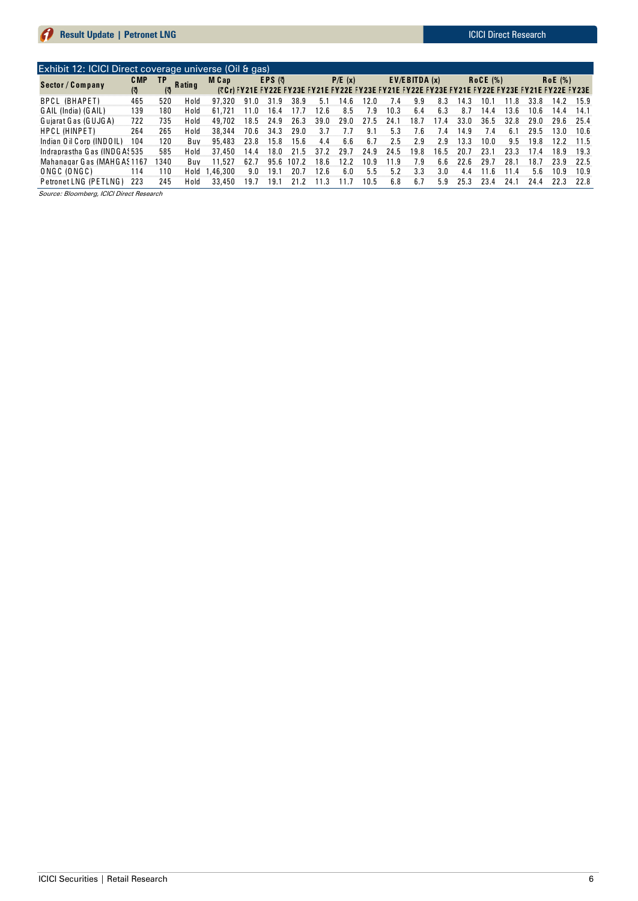| <b>Result Update   Petronet LING</b>                   |      |      |               |          |        |      |        |      |           |      |      |                 |      |      |         |      | iului Direct Research |                                                                                                 |      |
|--------------------------------------------------------|------|------|---------------|----------|--------|------|--------|------|-----------|------|------|-----------------|------|------|---------|------|-----------------------|-------------------------------------------------------------------------------------------------|------|
|                                                        |      |      |               |          |        |      |        |      |           |      |      |                 |      |      |         |      |                       |                                                                                                 |      |
| Exhibit 12: ICICI Direct coverage universe (Oil & gas) |      |      |               |          |        |      |        |      |           |      |      |                 |      |      |         |      |                       |                                                                                                 |      |
| Sector / Company                                       | C MP | TP   | <b>Rating</b> | M Cap    | EPS (引 |      | P/E(x) |      | $EVA$ (x) |      |      | <b>RoCE (%)</b> |      |      | RoE(% ) |      |                       |                                                                                                 |      |
|                                                        | (ৰ   |      |               |          |        |      |        |      |           |      |      |                 |      |      |         |      |                       | (₹Cr) FY21E FY22E FY23E FY21E FY22E FY23E FY21E FY22E FY23E FY21E FY22E FY23E FY21E FY22E FY23E |      |
| <b>BPCL (BHAPET)</b>                                   | 465  | 520  | H o Id        | 97.320   | 91.0   | 31.9 | 38.9   | 5.1  | 14.6      | 12.0 | 7.4  | 9.9             | 8.3  | 14.3 | 10.     | 11.8 | 33.8                  | 14.2                                                                                            | 15.9 |
| G AIL (India) (G AIL)                                  | 139  | 180  | H o Id        | 61.721   | 11.0   | 16.4 |        | 12.6 | 8.5       | 7.9  | 10.3 | 6.4             | 6.3  | 8.7  | 14.4    | 13.6 | 10.6                  | 14.4                                                                                            | 14.1 |
| Guiarat Gas (GUJGA)                                    | 722  | 735  | H o Id        | 49,702   | 18.5   | 24.9 | 26.3   | 39.0 | 29.0      | 27.5 | 24.  | 18.T            | 7.4  | 33.0 | 36.5    | 32.8 | 29.0                  | 29.6                                                                                            | 25.4 |
| <b>HPCL (HINPET)</b>                                   | 264  | 265  | Hold          | 38.344   | 70.6   | 34.3 | 29.0   | 3.7  |           | 9.1  | 5.3  | 7.6             | 7.4  | 14.9 | 7.4     | 6.1  | 29.5                  | 13.0                                                                                            | 10.6 |
| Indian Oil Corp (INDOIL)                               | 104  | 120  | Buv           | 95,483   | 23.8   | 15.8 | 15.6   | 4.4  | 6.6       | 6.7  | 2.5  | 2.9             | 2.9  | 13.3 | 10.0    | 9.5  | 19.8                  | 12.2                                                                                            | 11.5 |
| Indraprastha Gas (INDGA: 535                           |      | 585  | H o Id        | 37,450   | 14.4   | 18.0 |        | 37.2 | 29.7      | 24.9 | 24.5 | 19.8            | 16.5 | 20.7 | 23.1    | 23.3 | 17.4                  | 18.9                                                                                            | 19.3 |
| Mahanagar Gas (MAHGAS1167                              |      | 1340 | Buv           | 11.527   | 62.7   | 95.6 | 107.2  | 18.6 | 12.2      | 10.9 | 11.9 | 7.9             | 6.6  | 22.6 | 29.7    | 28.  | 18.7                  | 23.9                                                                                            | 22.5 |
| ONGC (ONGC)                                            | 114  | 110  | Hold          | 1.46.300 | 9.0    | 19.1 | 20.7   | 12.6 | 6.0       | 5.5  | 5.2  | 3.3             | 3.0  | 4.4  | 11.6    | 11.4 | 5.6                   | 10.9                                                                                            | 10.9 |
| Petronet LNG (PETLNG)                                  | 223  | 245  | Hold          | 33,450   | 19.7   | 19.1 | 21.2   | 11.3 | 11.7      | 10.5 | 6.8  | 6.7             | 5.9  | 25.3 | 23.4    | 24.1 | 24.4                  | 22.3                                                                                            | 22.8 |
| Source: Bloomberg, ICICI Direct Research               |      |      |               |          |        |      |        |      |           |      |      |                 |      |      |         |      |                       |                                                                                                 |      |

Source: Bloomberg, ICICI Direct Research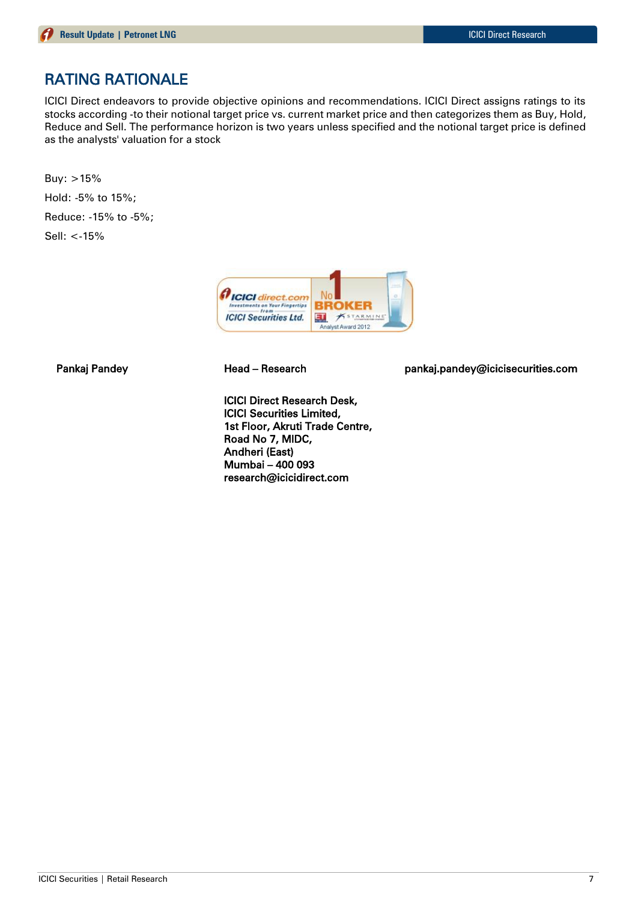## RATING RATIONALE

ICICI Direct endeavors to provide objective opinions and recommendations. ICICI Direct assigns ratings to its stocks according -to their notional target price vs. current market price and then categorizes them as Buy, Hold, Reduce and Sell. The performance horizon is two years unless specified and the notional target price is defined as the analysts' valuation for a stock

Buy: >15% Hold: -5% to 15%; Reduce: -15% to -5%; Sell: <-15%



ICICI Direct Research Desk, ICICI Securities Limited, 1st Floor, Akruti Trade Centre, Road No 7, MIDC, Andheri (East) Mumbai – 400 093 research@icicidirect.com

Pankaj Pandey **Head – Research head pankaj.pandey@icicisecurities.com**